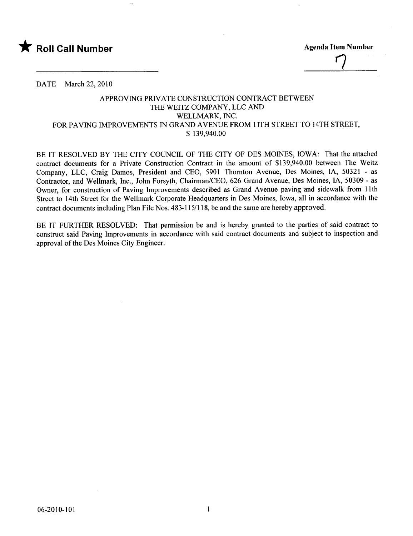

 $\overline{\phantom{a}}$ 

DATE March 22, 2010

## APPROVING PRIVATE CONSTRUCTION CONTRACT BETWEEN THE WEITZ COMPANY, LLC AND WELLMARK, INC. FOR PAVING IMPROVEMENTS IN GRAND AVENUE FROM 11TH STREET TO 14TH STREET, \$ 139,940.00

BE IT RESOLVED BY THE CITY COUNCIL OF THE CITY OF DES MOINES, IOWA: That the attached contract documents for a Private Construction Contract in the amount of \$139,940.00 between The Weitz Company, LLC, Craig Damos, President and CEO, 5901 Thornton Avenue, Des Moines, lA, 50321 - as Contractor, and Wellmark, Inc., John Forsyth, Chairman/CEO, 626 Grand Avenue, Des Moines, lA, 50309 - as Owner, for construction of Paving Improvements described as Grand Avenue paving and sidewalk from lIth Street to 14th Street for the Wellmark Corporate Headquarters in Des Moines, Iowa, all in accordance with the contract documents including Plan File Nos. 483-115/118, be and the same are hereby approved.

BE IT FURTHER RESOLVED: That permission be and is hereby granted to the parties of said contract to construct said Paving Improvements in accordance with said contract documents and subject to inspection and approval of the Des Moines City Engineer.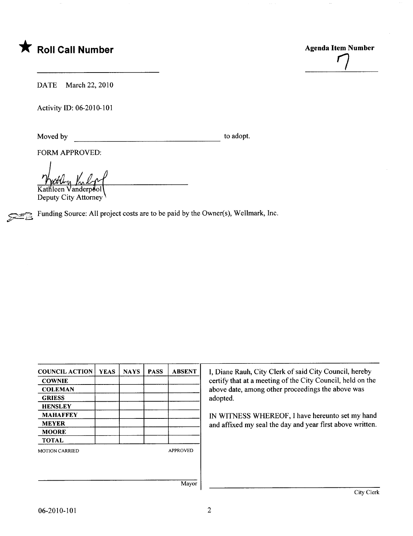



DATE March 22, 2010

Activity 10: 06-2010-101

Moved by to adopt.

FORM APPROVED:

Kathleen Vanderpool

Deputy City Attorney

Funding Source: All project costs are to be paid by the Owner(s), Wellmark, Inc.

| <b>COUNCIL ACTION</b> | <b>YEAS</b> | <b>NAYS</b> | <b>PASS</b> | <b>ABSENT</b>   |
|-----------------------|-------------|-------------|-------------|-----------------|
| <b>COWNIE</b>         |             |             |             |                 |
| <b>COLEMAN</b>        |             |             |             |                 |
| <b>GRIESS</b>         |             |             |             |                 |
| <b>HENSLEY</b>        |             |             |             |                 |
| <b>MAHAFFEY</b>       |             |             |             |                 |
| <b>MEYER</b>          |             |             |             |                 |
| <b>MOORE</b>          |             |             |             |                 |
| <b>TOTAL</b>          |             |             |             |                 |
| <b>MOTION CARRIED</b> |             |             |             | <b>APPROVED</b> |
|                       |             |             |             |                 |
|                       |             |             |             |                 |
|                       |             |             |             | Mayor           |

I, Diane Rauh, City Clerk of said City Council, hereby certify that at a meeting of the City Council, held on the above date, among other proceedings the above was adopted.

IN WITNESS WHEREOF, I have hereunto set my hand and affixed my seal the day and year first above written.

Mayor